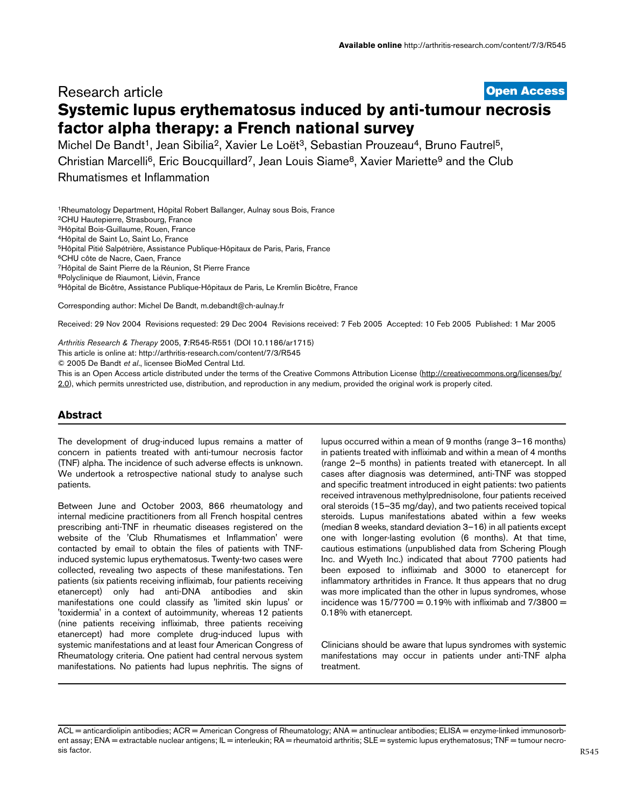# **[Open Access](http://www.biomedcentral.com/info/about/charter/)** Research article **Systemic lupus erythematosus induced by anti-tumour necrosis factor alpha therapy: a French national survey**

Michel De Bandt<sup>1</sup>, Jean Sibilia<sup>2</sup>, Xavier Le Loët<sup>3</sup>, Sebastian Prouzeau<sup>4</sup>, Bruno Fautrel<sup>5</sup>, Christian Marcelli<sup>6</sup>, Eric Boucquillard<sup>7</sup>, Jean Louis Siame<sup>8</sup>, Xavier Mariette<sup>9</sup> and the Club Rhumatismes et Inflammation

1Rheumatology Department, Hôpital Robert Ballanger, Aulnay sous Bois, France 2CHU Hautepierre, Strasbourg, France 3Hôpital Bois-Guillaume, Rouen, France 4Hôpital de Saint Lo, Saint Lo, France 5Hôpital Pitié Salpétrière, Assistance Publique-Hôpitaux de Paris, Paris, France 6CHU côte de Nacre, Caen, France 7Hôpital de Saint Pierre de la Réunion, St Pierre France 8Polyclinique de Riaumont, Liévin, France 9Hôpital de Bicêtre, Assistance Publique-Hôpitaux de Paris, Le Kremlin Bicêtre, France

Corresponding author: Michel De Bandt, m.debandt@ch-aulnay.fr

Received: 29 Nov 2004 Revisions requested: 29 Dec 2004 Revisions received: 7 Feb 2005 Accepted: 10 Feb 2005 Published: 1 Mar 2005

*Arthritis Research & Therapy* 2005, **7**:R545-R551 (DOI 10.1186/ar1715) [This article is online at: http://arthritis-research.com/content/7/3/R545](http://arthritis-research.com/content/7/3/R545)

© 2005 De Bandt *et al*., licensee BioMed Central Ltd.

This is an Open Access article distributed under the terms of the Creative Commons Attribution License ([http://creativecommons.org/licenses/by/](http://creativecommons.org/licenses/by/2.0) [2.0\)](http://creativecommons.org/licenses/by/2.0), which permits unrestricted use, distribution, and reproduction in any medium, provided the original work is properly cited.

# **Abstract**

The development of drug-induced lupus remains a matter of concern in patients treated with anti-tumour necrosis factor (TNF) alpha. The incidence of such adverse effects is unknown. We undertook a retrospective national study to analyse such patients.

Between June and October 2003, 866 rheumatology and internal medicine practitioners from all French hospital centres prescribing anti-TNF in rheumatic diseases registered on the website of the 'Club Rhumatismes et Inflammation' were contacted by email to obtain the files of patients with TNFinduced systemic lupus erythematosus. Twenty-two cases were collected, revealing two aspects of these manifestations. Ten patients (six patients receiving infliximab, four patients receiving etanercept) only had anti-DNA antibodies and skin manifestations one could classify as 'limited skin lupus' or 'toxidermia' in a context of autoimmunity, whereas 12 patients (nine patients receiving infliximab, three patients receiving etanercept) had more complete drug-induced lupus with systemic manifestations and at least four American Congress of Rheumatology criteria. One patient had central nervous system manifestations. No patients had lupus nephritis. The signs of lupus occurred within a mean of 9 months (range 3–16 months) in patients treated with infliximab and within a mean of 4 months (range 2–5 months) in patients treated with etanercept. In all cases after diagnosis was determined, anti-TNF was stopped and specific treatment introduced in eight patients: two patients received intravenous methylprednisolone, four patients received oral steroids (15–35 mg/day), and two patients received topical steroids. Lupus manifestations abated within a few weeks (median 8 weeks, standard deviation 3–16) in all patients except one with longer-lasting evolution (6 months). At that time, cautious estimations (unpublished data from Schering Plough Inc. and Wyeth Inc.) indicated that about 7700 patients had been exposed to infliximab and 3000 to etanercept for inflammatory arthritides in France. It thus appears that no drug was more implicated than the other in lupus syndromes, whose incidence was  $15/7700 = 0.19%$  with infliximab and  $7/3800 =$ 0.18% with etanercept.

Clinicians should be aware that lupus syndromes with systemic manifestations may occur in patients under anti-TNF alpha treatment.

ACL = anticardiolipin antibodies; ACR = American Congress of Rheumatology; ANA = antinuclear antibodies; ELISA = enzyme-linked immunosorbent assay; ENA = extractable nuclear antigens; IL = interleukin; RA = rheumatoid arthritis; SLE = systemic lupus erythematosus; TNF = tumour necrosis factor.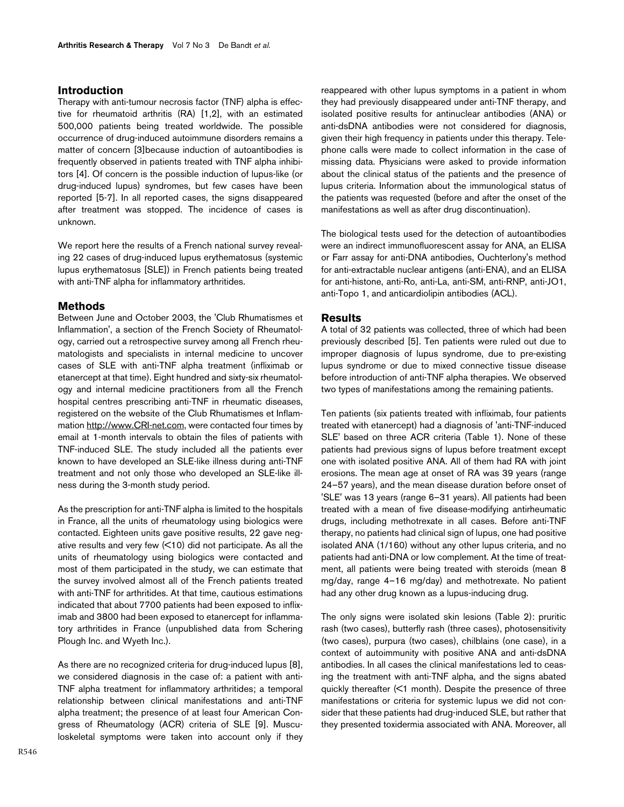## **Introduction**

Therapy with anti-tumour necrosis factor (TNF) alpha is effective for rheumatoid arthritis (RA) [1,2], with an estimated 500,000 patients being treated worldwide. The possible occurrence of drug-induced autoimmune disorders remains a matter of concern [3]because induction of autoantibodies is frequently observed in patients treated with TNF alpha inhibitors [4]. Of concern is the possible induction of lupus-like (or drug-induced lupus) syndromes, but few cases have been reported [5-7]. In all reported cases, the signs disappeared after treatment was stopped. The incidence of cases is unknown.

We report here the results of a French national survey revealing 22 cases of drug-induced lupus erythematosus (systemic lupus erythematosus [SLE]) in French patients being treated with anti-TNF alpha for inflammatory arthritides.

## **Methods**

Between June and October 2003, the 'Club Rhumatismes et Inflammation', a section of the French Society of Rheumatology, carried out a retrospective survey among all French rheumatologists and specialists in internal medicine to uncover cases of SLE with anti-TNF alpha treatment (infliximab or etanercept at that time). Eight hundred and sixty-six rheumatology and internal medicine practitioners from all the French hospital centres prescribing anti-TNF in rheumatic diseases, registered on the website of the Club Rhumatismes et Inflammation [http://www.CRI-net.com,](http://www.CRI-net.com) were contacted four times by email at 1-month intervals to obtain the files of patients with TNF-induced SLE. The study included all the patients ever known to have developed an SLE-like illness during anti-TNF treatment and not only those who developed an SLE-like illness during the 3-month study period.

As the prescription for anti-TNF alpha is limited to the hospitals in France, all the units of rheumatology using biologics were contacted. Eighteen units gave positive results, 22 gave negative results and very few (<10) did not participate. As all the units of rheumatology using biologics were contacted and most of them participated in the study, we can estimate that the survey involved almost all of the French patients treated with anti-TNF for arthritides. At that time, cautious estimations indicated that about 7700 patients had been exposed to infliximab and 3800 had been exposed to etanercept for inflammatory arthritides in France (unpublished data from Schering Plough Inc. and Wyeth Inc.).

As there are no recognized criteria for drug-induced lupus [8], we considered diagnosis in the case of: a patient with anti-TNF alpha treatment for inflammatory arthritides; a temporal relationship between clinical manifestations and anti-TNF alpha treatment; the presence of at least four American Congress of Rheumatology (ACR) criteria of SLE [9]. Musculoskeletal symptoms were taken into account only if they

reappeared with other lupus symptoms in a patient in whom they had previously disappeared under anti-TNF therapy, and isolated positive results for antinuclear antibodies (ANA) or anti-dsDNA antibodies were not considered for diagnosis, given their high frequency in patients under this therapy. Telephone calls were made to collect information in the case of missing data. Physicians were asked to provide information about the clinical status of the patients and the presence of lupus criteria. Information about the immunological status of the patients was requested (before and after the onset of the manifestations as well as after drug discontinuation).

The biological tests used for the detection of autoantibodies were an indirect immunofluorescent assay for ANA, an ELISA or Farr assay for anti-DNA antibodies, Ouchterlony's method for anti-extractable nuclear antigens (anti-ENA), and an ELISA for anti-histone, anti-Ro, anti-La, anti-SM, anti-RNP, anti-JO1, anti-Topo 1, and anticardiolipin antibodies (ACL).

## **Results**

A total of 32 patients was collected, three of which had been previously described [5]. Ten patients were ruled out due to improper diagnosis of lupus syndrome, due to pre-existing lupus syndrome or due to mixed connective tissue disease before introduction of anti-TNF alpha therapies. We observed two types of manifestations among the remaining patients.

Ten patients (six patients treated with infliximab, four patients treated with etanercept) had a diagnosis of 'anti-TNF-induced SLE' based on three ACR criteria (Table [1](#page-2-0)). None of these patients had previous signs of lupus before treatment except one with isolated positive ANA. All of them had RA with joint erosions. The mean age at onset of RA was 39 years (range 24–57 years), and the mean disease duration before onset of 'SLE' was 13 years (range 6–31 years). All patients had been treated with a mean of five disease-modifying antirheumatic drugs, including methotrexate in all cases. Before anti-TNF therapy, no patients had clinical sign of lupus, one had positive isolated ANA (1/160) without any other lupus criteria, and no patients had anti-DNA or low complement. At the time of treatment, all patients were being treated with steroids (mean 8 mg/day, range 4–16 mg/day) and methotrexate. No patient had any other drug known as a lupus-inducing drug.

The only signs were isolated skin lesions (Table [2](#page-3-0)): pruritic rash (two cases), butterfly rash (three cases), photosensitivity (two cases), purpura (two cases), chilblains (one case), in a context of autoimmunity with positive ANA and anti-dsDNA antibodies. In all cases the clinical manifestations led to ceasing the treatment with anti-TNF alpha, and the signs abated quickly thereafter (<1 month). Despite the presence of three manifestations or criteria for systemic lupus we did not consider that these patients had drug-induced SLE, but rather that they presented toxidermia associated with ANA. Moreover, all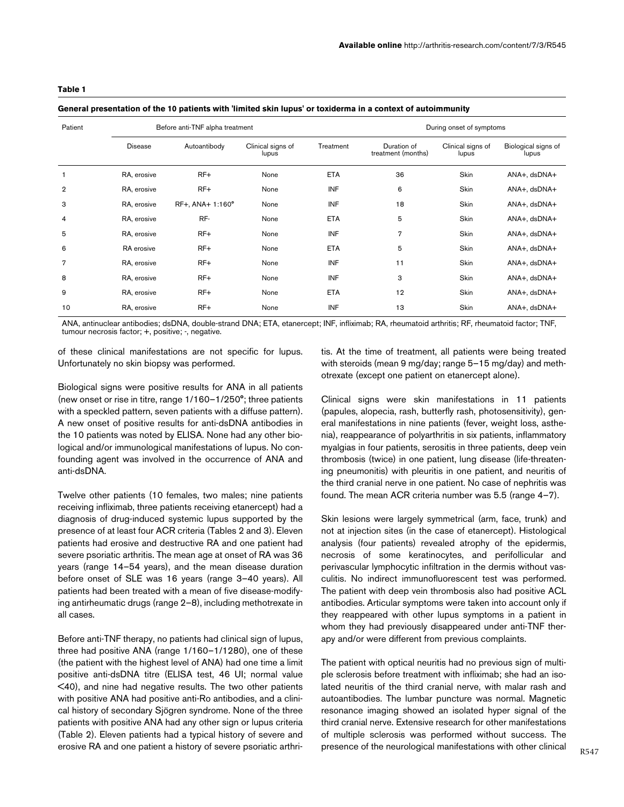### <span id="page-2-0"></span>**Table 1**

#### **General presentation of the 10 patients with 'limited skin lupus' or toxiderma in a context of autoimmunity**

| Patient        | Before anti-TNF alpha treatment<br>Autoantibody<br>Clinical signs of<br><b>Disease</b><br>lupus<br>$RF+$<br>RA, erosive<br>None |                  |      |            | During onset of symptoms          |                            |                              |  |
|----------------|---------------------------------------------------------------------------------------------------------------------------------|------------------|------|------------|-----------------------------------|----------------------------|------------------------------|--|
|                |                                                                                                                                 |                  |      | Treatment  | Duration of<br>treatment (months) | Clinical signs of<br>lupus | Biological signs of<br>lupus |  |
| $\mathbf{1}$   |                                                                                                                                 |                  |      | <b>ETA</b> | 36                                | Skin                       | ANA+, dsDNA+                 |  |
| $\overline{2}$ | RA, erosive                                                                                                                     | $RF+$            | None | <b>INF</b> | 6                                 | Skin                       | ANA+, dsDNA+                 |  |
| 3              | RA, erosive                                                                                                                     | RF+, ANA+ 1:160° | None | <b>INF</b> | 18                                | Skin                       | ANA+, dsDNA+                 |  |
| 4              | RA, erosive                                                                                                                     | RF-              | None | <b>ETA</b> | 5                                 | Skin                       | ANA+, dsDNA+                 |  |
| 5              | RA, erosive                                                                                                                     | $RF+$            | None | <b>INF</b> | $\overline{7}$                    | Skin                       | ANA+, dsDNA+                 |  |
| 6              | RA erosive                                                                                                                      | $RF+$            | None | <b>ETA</b> | 5                                 | Skin                       | ANA+, dsDNA+                 |  |
| $\overline{7}$ | RA, erosive                                                                                                                     | $RF+$            | None | <b>INF</b> | 11                                | Skin                       | ANA+, dsDNA+                 |  |
| 8              | RA, erosive                                                                                                                     | $RF+$            | None | <b>INF</b> | 3                                 | Skin                       | ANA+, dsDNA+                 |  |
| 9              | RA, erosive                                                                                                                     | $RF+$            | None | <b>ETA</b> | 12                                | Skin                       | ANA+, dsDNA+                 |  |
| 10             | RA, erosive                                                                                                                     | $RF+$            | None | <b>INF</b> | 13                                | Skin                       | ANA+, dsDNA+                 |  |

ANA, antinuclear antibodies; dsDNA, double-strand DNA; ETA, etanercept; INF, infliximab; RA, rheumatoid arthritis; RF, rheumatoid factor; TNF, tumour necrosis factor; +, positive; -, negative.

of these clinical manifestations are not specific for lupus. Unfortunately no skin biopsy was performed.

Biological signs were positive results for ANA in all patients (new onset or rise in titre, range 1/160–1/250°; three patients with a speckled pattern, seven patients with a diffuse pattern). A new onset of positive results for anti-dsDNA antibodies in the 10 patients was noted by ELISA. None had any other biological and/or immunological manifestations of lupus. No confounding agent was involved in the occurrence of ANA and anti-dsDNA.

Twelve other patients (10 females, two males; nine patients receiving infliximab, three patients receiving etanercept) had a diagnosis of drug-induced systemic lupus supported by the presence of at least four ACR criteria (Tables [2](#page-3-0) and [3](#page-4-0)). Eleven patients had erosive and destructive RA and one patient had severe psoriatic arthritis. The mean age at onset of RA was 36 years (range 14–54 years), and the mean disease duration before onset of SLE was 16 years (range 3–40 years). All patients had been treated with a mean of five disease-modifying antirheumatic drugs (range 2–8), including methotrexate in all cases.

Before anti-TNF therapy, no patients had clinical sign of lupus, three had positive ANA (range 1/160–1/1280), one of these (the patient with the highest level of ANA) had one time a limit positive anti-dsDNA titre (ELISA test, 46 UI; normal value <40), and nine had negative results. The two other patients with positive ANA had positive anti-Ro antibodies, and a clinical history of secondary Sjögren syndrome. None of the three patients with positive ANA had any other sign or lupus criteria (Table [2\)](#page-3-0). Eleven patients had a typical history of severe and erosive RA and one patient a history of severe psoriatic arthri-

tis. At the time of treatment, all patients were being treated with steroids (mean 9 mg/day; range 5–15 mg/day) and methotrexate (except one patient on etanercept alone).

Clinical signs were skin manifestations in 11 patients (papules, alopecia, rash, butterfly rash, photosensitivity), general manifestations in nine patients (fever, weight loss, asthenia), reappearance of polyarthritis in six patients, inflammatory myalgias in four patients, serositis in three patients, deep vein thrombosis (twice) in one patient, lung disease (life-threatening pneumonitis) with pleuritis in one patient, and neuritis of the third cranial nerve in one patient. No case of nephritis was found. The mean ACR criteria number was 5.5 (range 4–7).

Skin lesions were largely symmetrical (arm, face, trunk) and not at injection sites (in the case of etanercept). Histological analysis (four patients) revealed atrophy of the epidermis, necrosis of some keratinocytes, and perifollicular and perivascular lymphocytic infiltration in the dermis without vasculitis. No indirect immunofluorescent test was performed. The patient with deep vein thrombosis also had positive ACL antibodies. Articular symptoms were taken into account only if they reappeared with other lupus symptoms in a patient in whom they had previously disappeared under anti-TNF therapy and/or were different from previous complaints.

The patient with optical neuritis had no previous sign of multiple sclerosis before treatment with infliximab; she had an isolated neuritis of the third cranial nerve, with malar rash and autoantibodies. The lumbar puncture was normal. Magnetic resonance imaging showed an isolated hyper signal of the third cranial nerve. Extensive research for other manifestations of multiple sclerosis was performed without success. The presence of the neurological manifestations with other clinical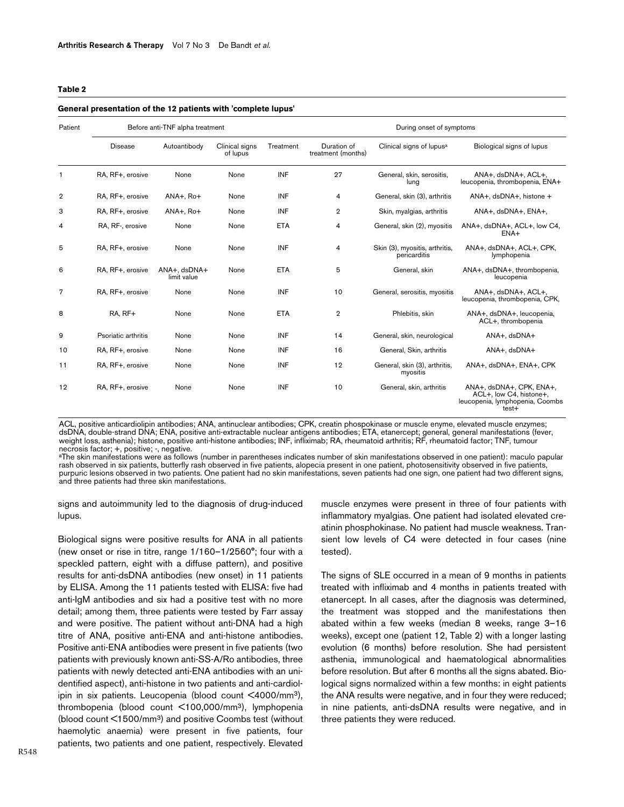#### <span id="page-3-0"></span>**Table 2**

#### **General presentation of the 12 patients with 'complete lupus'**

| Patient        | Before anti-TNF alpha treatment |                             |                            |            | During onset of symptoms          |                                                |                                                                                                 |  |
|----------------|---------------------------------|-----------------------------|----------------------------|------------|-----------------------------------|------------------------------------------------|-------------------------------------------------------------------------------------------------|--|
|                | <b>Disease</b>                  | Autoantibody                | Clinical signs<br>of lupus | Treatment  | Duration of<br>treatment (months) | Clinical signs of lupus <sup>a</sup>           | Biological signs of lupus                                                                       |  |
|                | RA, RF+, erosive                | None                        | None                       | <b>INF</b> | 27                                | General, skin, serositis,<br>lung              | ANA+, dsDNA+, ACL+,<br>leucopenia, thrombopenia, ENA+                                           |  |
| $\overline{2}$ | RA, RF+, erosive                | ANA+, Ro+                   | None                       | <b>INF</b> | 4                                 | General, skin (3), arthritis                   | ANA+, dsDNA+, histone +                                                                         |  |
| 3              | RA, RF+, erosive                | ANA+, Ro+                   | None                       | INF        | $\overline{2}$                    | Skin, myalgias, arthritis                      | ANA+, dsDNA+, ENA+,                                                                             |  |
| 4              | RA, RF-, erosive                | None                        | None                       | <b>ETA</b> | 4                                 | General, skin (2), myositis                    | ANA+, dsDNA+, ACL+, low C4,<br>ENA+                                                             |  |
| 5              | RA, RF+, erosive                | None                        | None                       | <b>INF</b> | $\overline{4}$                    | Skin (3), myositis, arthritis,<br>pericarditis | ANA+, dsDNA+, ACL+, CPK,<br>lymphopenia                                                         |  |
| 6              | RA, RF+, erosive                | ANA+, dsDNA+<br>limit value | None                       | <b>ETA</b> | 5                                 | General, skin                                  | ANA+, dsDNA+, thrombopenia,<br>leucopenia                                                       |  |
| $\overline{7}$ | RA, RF+, erosive                | None                        | None                       | <b>INF</b> | 10                                | General, serositis, myositis                   | ANA+, dsDNA+, ACL+,<br>leucopenia, thrombopenia, CPK,                                           |  |
| 8              | RA, RF+                         | None                        | None                       | <b>ETA</b> | $\overline{2}$                    | Phlebitis, skin                                | ANA+, dsDNA+, leucopenia,<br>ACL+, thrombopenia                                                 |  |
| 9              | Psoriatic arthritis             | None                        | None                       | <b>INF</b> | 14                                | General, skin, neurological                    | ANA+, dsDNA+                                                                                    |  |
| 10             | RA, RF+, erosive                | None                        | None                       | <b>INF</b> | 16                                | General, Skin, arthritis                       | ANA+, dsDNA+                                                                                    |  |
| 11             | RA, RF+, erosive                | None                        | None                       | <b>INF</b> | 12                                | General, skin (3), arthritis,<br>myositis      | ANA+, dsDNA+, ENA+, CPK                                                                         |  |
| 12             | RA, RF+, erosive                | None                        | None                       | <b>INF</b> | 10                                | General, skin, arthritis                       | ANA+, dsDNA+, CPK, ENA+,<br>ACL+, low C4, histone+,<br>leucopenia, lymphopenia, Coombs<br>test+ |  |

ACL, positive anticardiolipin antibodies; ANA, antinuclear antibodies; CPK, creatin phospokinase or muscle enyme, elevated muscle enzymes; dsDNA, double-strand DNA; ENA, positive anti-extractable nuclear antigens antibodies; ETA, etanercept; general, general manifestations (fever, weight loss, asthenia); histone, positive anti-histone antibodies; INF, infliximab; RA, rheumatoid arthritis; RF, rheumatoid factor; TNF, tumour necrosis factor; +, positive; -, negative.

aThe skin manifestations were as follows (number in parentheses indicates number of skin manifestations observed in one patient): maculo papular rash observed in six patients, butterfly rash observed in five patients, alopecia present in one patient, photosensitivity observed in five patients, purpuric lesions observed in two patients. One patient had no skin manifestations, seven patients had one sign, one patient had two different signs, and three patients had three skin manifestations.

signs and autoimmunity led to the diagnosis of drug-induced lupus.

Biological signs were positive results for ANA in all patients (new onset or rise in titre, range 1/160–1/2560°; four with a speckled pattern, eight with a diffuse pattern), and positive results for anti-dsDNA antibodies (new onset) in 11 patients by ELISA. Among the 11 patients tested with ELISA: five had anti-IgM antibodies and six had a positive test with no more detail; among them, three patients were tested by Farr assay and were positive. The patient without anti-DNA had a high titre of ANA, positive anti-ENA and anti-histone antibodies. Positive anti-ENA antibodies were present in five patients (two patients with previously known anti-SS-A/Ro antibodies, three patients with newly detected anti-ENA antibodies with an unidentified aspect), anti-histone in two patients and anti-cardiolipin in six patients. Leucopenia (blood count <4000/mm3), thrombopenia (blood count <100,000/mm3), lymphopenia (blood count <1500/mm3) and positive Coombs test (without haemolytic anaemia) were present in five patients, four patients, two patients and one patient, respectively. Elevated

muscle enzymes were present in three of four patients with inflammatory myalgias. One patient had isolated elevated creatinin phosphokinase. No patient had muscle weakness. Transient low levels of C4 were detected in four cases (nine tested).

The signs of SLE occurred in a mean of 9 months in patients treated with infliximab and 4 months in patients treated with etanercept. In all cases, after the diagnosis was determined, the treatment was stopped and the manifestations then abated within a few weeks (median 8 weeks, range 3–16 weeks), except one (patient 12, Table [2](#page-3-0)) with a longer lasting evolution (6 months) before resolution. She had persistent asthenia, immunological and haematological abnormalities before resolution. But after 6 months all the signs abated. Biological signs normalized within a few months: in eight patients the ANA results were negative, and in four they were reduced; in nine patients, anti-dsDNA results were negative, and in three patients they were reduced.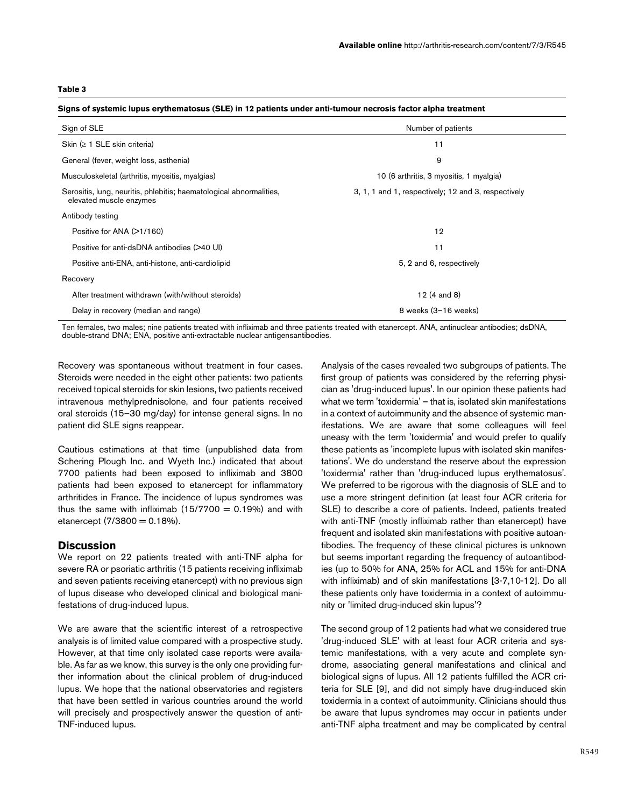### <span id="page-4-0"></span>**Table 3**

| Sign of SLE                                                                                    | Number of patients                                  |  |  |  |
|------------------------------------------------------------------------------------------------|-----------------------------------------------------|--|--|--|
| Skin $( \geq 1$ SLE skin criteria)                                                             | 11                                                  |  |  |  |
| General (fever, weight loss, asthenia)                                                         | 9                                                   |  |  |  |
| Musculoskeletal (arthritis, myositis, myalgias)                                                | 10 (6 arthritis, 3 myositis, 1 myalgia)             |  |  |  |
| Serositis, lung, neuritis, phlebitis; haematological abnormalities,<br>elevated muscle enzymes | 3, 1, 1 and 1, respectively; 12 and 3, respectively |  |  |  |
| Antibody testing                                                                               |                                                     |  |  |  |
| Positive for ANA (>1/160)                                                                      | 12                                                  |  |  |  |
| Positive for anti-dsDNA antibodies (>40 UI)                                                    | 11                                                  |  |  |  |
| Positive anti-ENA, anti-histone, anti-cardiolipid                                              | 5, 2 and 6, respectively                            |  |  |  |
| Recovery                                                                                       |                                                     |  |  |  |
| After treatment withdrawn (with/without steroids)                                              | 12 (4 and 8)                                        |  |  |  |
| Delay in recovery (median and range)                                                           | 8 weeks (3-16 weeks)                                |  |  |  |

**Signs of systemic lupus erythematosus (SLE) in 12 patients under anti-tumour necrosis factor alpha treatment**

Ten females, two males; nine patients treated with infliximab and three patients treated with etanercept. ANA, antinuclear antibodies; dsDNA, double-strand DNA; ENA, positive anti-extractable nuclear antigensantibodies.

Recovery was spontaneous without treatment in four cases. Steroids were needed in the eight other patients: two patients received topical steroids for skin lesions, two patients received intravenous methylprednisolone, and four patients received oral steroids (15–30 mg/day) for intense general signs. In no patient did SLE signs reappear.

Cautious estimations at that time (unpublished data from Schering Plough Inc. and Wyeth Inc.) indicated that about 7700 patients had been exposed to infliximab and 3800 patients had been exposed to etanercept for inflammatory arthritides in France. The incidence of lupus syndromes was thus the same with infliximab  $(15/7700 = 0.19%)$  and with etanercept  $(7/3800 = 0.18\%)$ .

## **Discussion**

We report on 22 patients treated with anti-TNF alpha for severe RA or psoriatic arthritis (15 patients receiving infliximab and seven patients receiving etanercept) with no previous sign of lupus disease who developed clinical and biological manifestations of drug-induced lupus.

We are aware that the scientific interest of a retrospective analysis is of limited value compared with a prospective study. However, at that time only isolated case reports were available. As far as we know, this survey is the only one providing further information about the clinical problem of drug-induced lupus. We hope that the national observatories and registers that have been settled in various countries around the world will precisely and prospectively answer the question of anti-TNF-induced lupus.

Analysis of the cases revealed two subgroups of patients. The first group of patients was considered by the referring physician as 'drug-induced lupus'. In our opinion these patients had what we term 'toxidermia' – that is, isolated skin manifestations in a context of autoimmunity and the absence of systemic manifestations. We are aware that some colleagues will feel uneasy with the term 'toxidermia' and would prefer to qualify these patients as 'incomplete lupus with isolated skin manifestations'. We do understand the reserve about the expression 'toxidermia' rather than 'drug-induced lupus erythematosus'. We preferred to be rigorous with the diagnosis of SLE and to use a more stringent definition (at least four ACR criteria for SLE) to describe a core of patients. Indeed, patients treated with anti-TNF (mostly infliximab rather than etanercept) have frequent and isolated skin manifestations with positive autoantibodies. The frequency of these clinical pictures is unknown but seems important regarding the frequency of autoantibodies (up to 50% for ANA, 25% for ACL and 15% for anti-DNA with infliximab) and of skin manifestations [3-7,10-12]. Do all these patients only have toxidermia in a context of autoimmunity or 'limited drug-induced skin lupus'?

The second group of 12 patients had what we considered true 'drug-induced SLE' with at least four ACR criteria and systemic manifestations, with a very acute and complete syndrome, associating general manifestations and clinical and biological signs of lupus. All 12 patients fulfilled the ACR criteria for SLE [9], and did not simply have drug-induced skin toxidermia in a context of autoimmunity. Clinicians should thus be aware that lupus syndromes may occur in patients under anti-TNF alpha treatment and may be complicated by central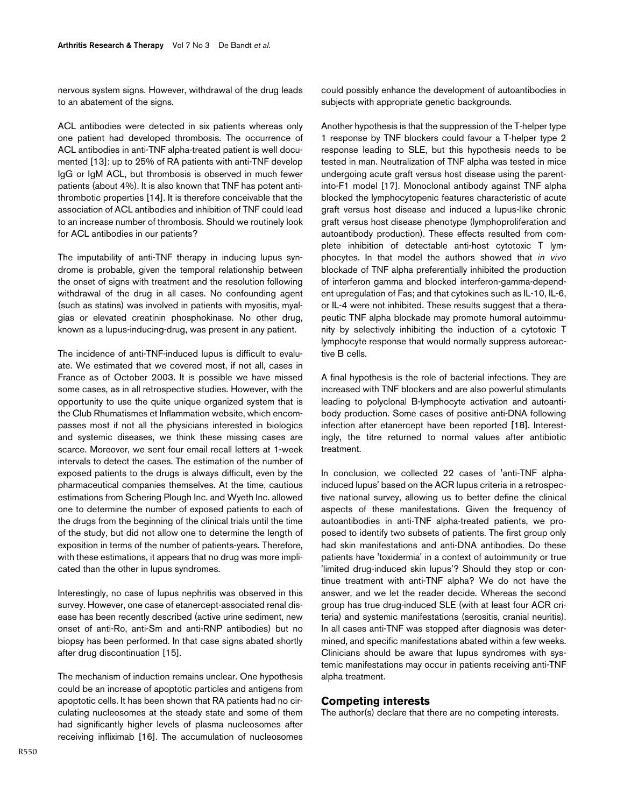nervous system signs. However, withdrawal of the drug leads to an abatement of the signs.

ACL antibodies were detected in six patients whereas only one patient had developed thrombosis. The occurrence of ACL antibodies in anti-TNF alpha-treated patient is well documented [13]: up to 25% of RA patients with anti-TNF develop IgG or IgM ACL, but thrombosis is observed in much fewer patients (about 4%). It is also known that TNF has potent antithrombotic properties [14]. It is therefore conceivable that the association of ACL antibodies and inhibition of TNF could lead to an increase number of thrombosis. Should we routinely look for ACL antibodies in our patients?

The imputability of anti-TNF therapy in inducing lupus syndrome is probable, given the temporal relationship between the onset of signs with treatment and the resolution following withdrawal of the drug in all cases. No confounding agent (such as statins) was involved in patients with myositis, myalgias or elevated creatinin phosphokinase. No other drug, known as a lupus-inducing-drug, was present in any patient.

The incidence of anti-TNF-induced lupus is difficult to evaluate. We estimated that we covered most, if not all, cases in France as of October 2003. It is possible we have missed some cases, as in all retrospective studies. However, with the opportunity to use the quite unique organized system that is the Club Rhumatismes et Inflammation website, which encompasses most if not all the physicians interested in biologics and systemic diseases, we think these missing cases are scarce. Moreover, we sent four email recall letters at 1-week intervals to detect the cases. The estimation of the number of exposed patients to the drugs is always difficult, even by the pharmaceutical companies themselves. At the time, cautious estimations from Schering Plough Inc. and Wyeth Inc. allowed one to determine the number of exposed patients to each of the drugs from the beginning of the clinical trials until the time of the study, but did not allow one to determine the length of exposition in terms of the number of patients-years. Therefore, with these estimations, it appears that no drug was more implicated than the other in lupus syndromes.

Interestingly, no case of lupus nephritis was observed in this survey. However, one case of etanercept-associated renal disease has been recently described (active urine sediment, new onset of anti-Ro, anti-Sm and anti-RNP antibodies) but no biopsy has been performed. In that case signs abated shortly after drug discontinuation [15].

The mechanism of induction remains unclear. One hypothesis could be an increase of apoptotic particles and antigens from apoptotic cells. It has been shown that RA patients had no circulating nucleosomes at the steady state and some of them had significantly higher levels of plasma nucleosomes after receiving infliximab [16]. The accumulation of nucleosomes

could possibly enhance the development of autoantibodies in subjects with appropriate genetic backgrounds.

Another hypothesis is that the suppression of the T-helper type 1 response by TNF blockers could favour a T-helper type 2 response leading to SLE, but this hypothesis needs to be tested in man. Neutralization of TNF alpha was tested in mice undergoing acute graft versus host disease using the parentinto-F1 model [17]. Monoclonal antibody against TNF alpha blocked the lymphocytopenic features characteristic of acute graft versus host disease and induced a lupus-like chronic graft versus host disease phenotype (lymphoproliferation and autoantibody production). These effects resulted from complete inhibition of detectable anti-host cytotoxic T lymphocytes. In that model the authors showed that *in vivo* blockade of TNF alpha preferentially inhibited the production of interferon gamma and blocked interferon-gamma-dependent upregulation of Fas; and that cytokines such as IL-10, IL-6, or IL-4 were not inhibited. These results suggest that a therapeutic TNF alpha blockade may promote humoral autoimmunity by selectively inhibiting the induction of a cytotoxic T lymphocyte response that would normally suppress autoreactive B cells.

A final hypothesis is the role of bacterial infections. They are increased with TNF blockers and are also powerful stimulants leading to polyclonal B-lymphocyte activation and autoantibody production. Some cases of positive anti-DNA following infection after etanercept have been reported [18]. Interestingly, the titre returned to normal values after antibiotic treatment.

In conclusion, we collected 22 cases of 'anti-TNF alphainduced lupus' based on the ACR lupus criteria in a retrospective national survey, allowing us to better define the clinical aspects of these manifestations. Given the frequency of autoantibodies in anti-TNF alpha-treated patients, we proposed to identify two subsets of patients. The first group only had skin manifestations and anti-DNA antibodies. Do these patients have 'toxidermia' in a context of autoimmunity or true 'limited drug-induced skin lupus'? Should they stop or continue treatment with anti-TNF alpha? We do not have the answer, and we let the reader decide. Whereas the second group has true drug-induced SLE (with at least four ACR criteria) and systemic manifestations (serositis, cranial neuritis). In all cases anti-TNF was stopped after diagnosis was determined, and specific manifestations abated within a few weeks. Clinicians should be aware that lupus syndromes with systemic manifestations may occur in patients receiving anti-TNF alpha treatment.

## **Competing interests**

The author(s) declare that there are no competing interests.